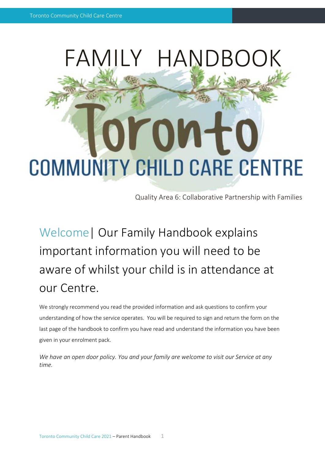

Quality Area 6: Collaborative Partnership with Families

Welcome| Our Family Handbook explains important information you will need to be aware of whilst your child is in attendance at our Centre.

We strongly recommend you read the provided information and ask questions to confirm your understanding of how the service operates. You will be required to sign and return the form on the last page of the handbook to confirm you have read and understand the information you have been given in your enrolment pack.

*We have an open door policy. You and your family are welcome to visit our Service at any time.*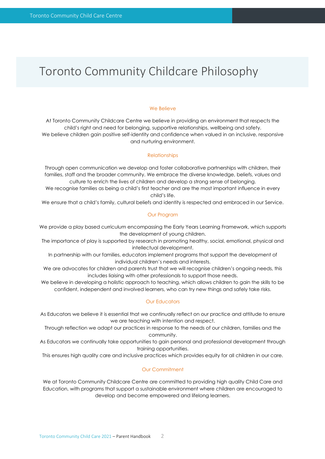### Toronto Community Childcare Philosophy

#### We Believe

At Toronto Community Childcare Centre we believe in providing an environment that respects the child's right and need for belonging, supportive relationships, wellbeing and safety. We believe children gain positive self-identity and confidence when valued in an inclusive, responsive and nurturing environment.

#### **Relationships**

Through open communication we develop and foster collaborative partnerships with children, their families, staff and the broader community. We embrace the diverse knowledge, beliefs, values and culture to enrich the lives of children and develop a strong sense of belonging.

We recognise families as being a child's first teacher and are the most important influence in every child's life.

We ensure that a child's family, cultural beliefs and identity is respected and embraced in our Service.

#### Our Program

We provide a play based curriculum encompassing the Early Years Learning Framework, which supports the development of young children.

The importance of play is supported by research in promoting healthy, social, emotional, physical and intellectual development.

In partnership with our families, educators implement programs that support the development of individual children's needs and interests.

We are advocates for children and parents trust that we will recognise children's ongoing needs, this includes liaising with other professionals to support those needs.

We believe in developing a holistic approach to teaching, which allows children to gain the skills to be confident, independent and involved learners, who can try new things and safely take risks.

#### Our Educators

As Educators we believe it is essential that we continually reflect on our practice and attitude to ensure we are teaching with intention and respect.

Through reflection we adapt our practices in response to the needs of our children, families and the community.

As Educators we continually take opportunities to gain personal and professional development through training opportunities.

This ensures high quality care and inclusive practices which provides equity for all children in our care.

#### Our Commitment

We at Toronto Community Childcare Centre are committed to providing high quality Child Care and Education, with programs that support a sustainable environment where children are encouraged to develop and become empowered and lifelong learners.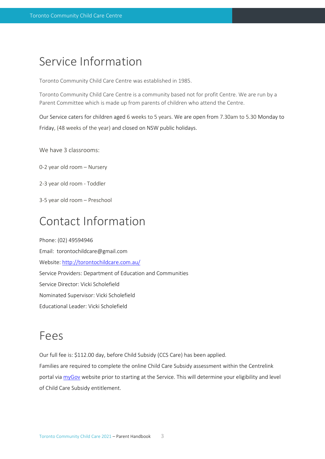#### Service Information

Toronto Community Child Care Centre was established in 1985.

Toronto Community Child Care Centre is a community based not for profit Centre. We are run by a Parent Committee which is made up from parents of children who attend the Centre.

Our Service caters for children aged 6 weeks to 5 years. We are open from 7.30am to 5.30 Monday to Friday, (48 weeks of the year) and closed on NSW public holidays.

We have 3 classrooms:

0-2 year old room – Nursery

- 2-3 year old room Toddler
- 3-5 year old room Preschool

### Contact Information

Phone: (02) 49594946 Email: torontochildcare@gmail.com Website:<http://torontochildcare.com.au/> Service Providers: Department of Education and Communities Service Director: Vicki Scholefield Nominated Supervisor: Vicki Scholefield Educational Leader: Vicki Scholefield

#### Fees

Our full fee is: \$112.00 day, before Child Subsidy (CCS Care) has been applied. Families are required to complete the online Child Care Subsidy assessment within the Centrelink portal via [myGov](https://my.gov.au/LoginServices/main/login?execution=e2s1) website prior to starting at the Service. This will determine your eligibility and level of Child Care Subsidy entitlement.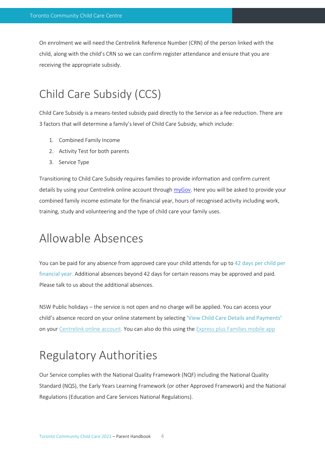On enrolment we will need the Centrelink Reference Number (CRN) of the person linked with the child, along with the child's CRN so we can confirm register attendance and ensure that you are receiving the appropriate subsidy.

### Child Care Subsidy (CCS)

Child Care Subsidy is a means-tested subsidy paid directly to the Service as a fee reduction. There are 3 factors that will determine a family's level of Child Care Subsidy, which include:

- 1. Combined Family Income
- 2. Activity Test for both parents
- 3. Service Type

Transitioning to Child Care Subsidy requires families to provide information and confirm current details by using your Centrelink online account through [myGov.](https://my.gov.au/LoginServices/main/login?execution=e2s1) Here you will be asked to provide your combined family income estimate for the financial year, hours of recognised activity including work, training, study and volunteering and the type of child care your family uses.

### Allowable Absences

You can be paid for any absence from approved care your child attends for up to 42 days per child per financial year. Additional absences beyond 42 days for certain reasons may be approved and paid. Please talk to us about the additional absences.

NSW Public holidays – the service is not open and no charge will be applied. You can access your child's absence record on your online statement by selecting **'**View Child Care Details and Payments**'** on you[r Centrelink online account.](http://www.humanservices.gov.au/customer/subjects/self-service) You can also do this using the [Express plus Families mobile app](http://www.humanservices.gov.au/customer/services/express-plus-mobile-apps)

# Regulatory Authorities

Our Service complies with the National Quality Framework (NQF) including the National Quality Standard (NQS), the Early Years Learning Framework (or other Approved Framework) and the National Regulations (Education and Care Services National Regulations).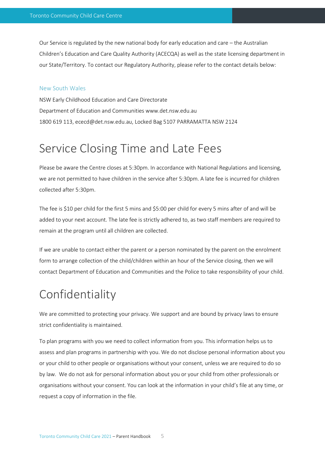Our Service is regulated by the new national body for early education and care – the Australian Children's Education and Care Quality Authority (ACECQA) as well as the state licensing department in our State/Territory. To contact our Regulatory Authority, please refer to the contact details below:

#### New South Wales

NSW Early Childhood Education and Care Directorate Department of Education and Communities www.det.nsw.edu.au 1800 619 113, ececd@det.nsw.edu.au, Locked Bag 5107 PARRAMATTA NSW 2124

### Service Closing Time and Late Fees

Please be aware the Centre closes at 5:30pm. In accordance with National Regulations and licensing, we are not permitted to have children in the service after 5:30pm. A late fee is incurred for children collected after 5:30pm.

The fee is \$10 per child for the first 5 mins and \$5:00 per child for every 5 mins after of and will be added to your next account. The late fee is strictly adhered to, as two staff members are required to remain at the program until all children are collected.

If we are unable to contact either the parent or a person nominated by the parent on the enrolment form to arrange collection of the child/children within an hour of the Service closing, then we will contact Department of Education and Communities and the Police to take responsibility of your child.

### Confidentiality

We are committed to protecting your privacy. We support and are bound by privacy laws to ensure strict confidentiality is maintained.

To plan programs with you we need to collect information from you. This information helps us to assess and plan programs in partnership with you. We do not disclose personal information about you or your child to other people or organisations without your consent, unless we are required to do so by law. We do not ask for personal information about you or your child from other professionals or organisations without your consent. You can look at the information in your child's file at any time, or request a copy of information in the file.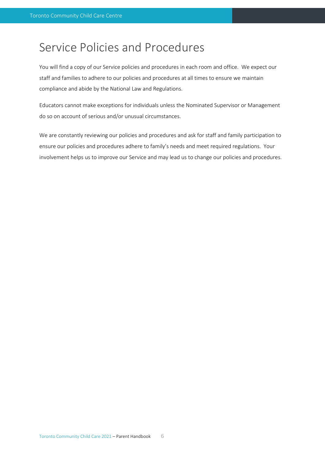### Service Policies and Procedures

You will find a copy of our Service policies and procedures in each room and office. We expect our staff and families to adhere to our policies and procedures at all times to ensure we maintain compliance and abide by the National Law and Regulations.

Educators cannot make exceptions for individuals unless the Nominated Supervisor or Management do so on account of serious and/or unusual circumstances.

We are constantly reviewing our policies and procedures and ask for staff and family participation to ensure our policies and procedures adhere to family's needs and meet required regulations. Your involvement helps us to improve our Service and may lead us to change our policies and procedures.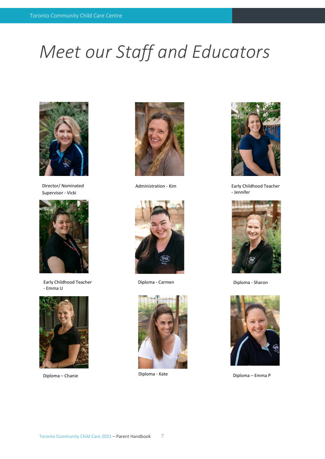# *Meet our Staff and Educators*



Director/ Nominated Supervisor - Vicki



Early Childhood Teacher - Emma U







Diploma - Carmen Diploma - Sharon





Administration - Kim Early Childhood Teacher - Jennifer





Diploma – Chanie Diploma - Kate Diploma – Emma P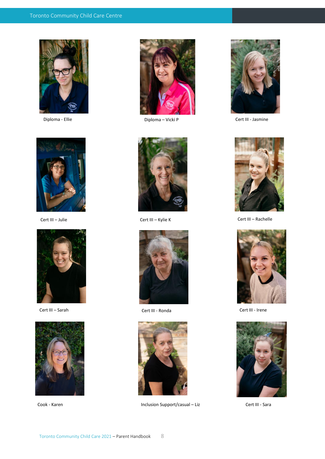





Cert III – Sarah Cert III - Ronda Cert III - Irene











Cook - Karen **Inclusion Support/casual – Liz** Cert III - Sara



Diploma - Ellie Diploma – Vicki P Cert III - Jasmine



Cert III – Julie Cert III – Kylie K Cert III – Rachelle



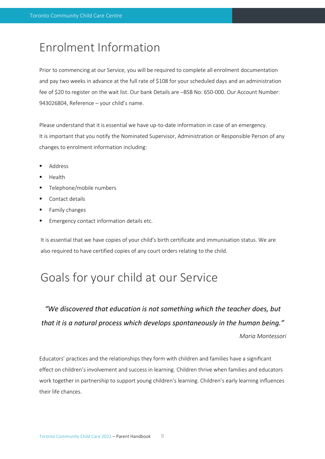### Enrolment Information

Prior to commencing at our Service, you will be required to complete all enrolment documentation and pay two weeks in advance at the full rate of \$108 for your scheduled days and an administration fee of \$20 to register on the wait list. Our bank Details are –BSB No: 650-000. Our Account Number: 943026804, Reference – your child's name.

Please understand that it is essential we have up-to-date information in case of an emergency. It is important that you notify the Nominated Supervisor, Administration or Responsible Person of any changes to enrolment information including:

- **Address**
- **Health**
- Telephone/mobile numbers
- Contact details
- Family changes
- Emergency contact information details etc.

It is essential that we have copies of your child's birth certificate and immunisation status. We are also required to have certified copies of any court orders relating to the child.

### Goals for your child at our Service

*"We discovered that education is not something which the teacher does, but that it is a natural process which develops spontaneously in the human being."*

*Maria Montessori*

Educators' practices and the relationships they form with children and families have a significant effect on children's involvement and success in learning. Children thrive when families and educators work together in partnership to support young children's learning. Children's early learning influences their life chances.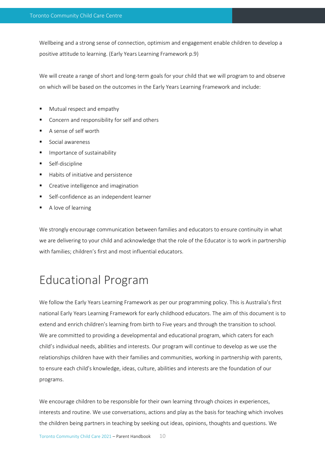Wellbeing and a strong sense of connection, optimism and engagement enable children to develop a positive attitude to learning. (Early Years Learning Framework p.9)

We will create a range of short and long-term goals for your child that we will program to and observe on which will be based on the outcomes in the Early Years Learning Framework and include:

- Mutual respect and empathy
- Concern and responsibility for self and others
- A sense of self worth
- Social awareness
- Importance of sustainability
- Self-discipline
- Habits of initiative and persistence
- Creative intelligence and imagination
- Self-confidence as an independent learner
- A love of learning

We strongly encourage communication between families and educators to ensure continuity in what we are delivering to your child and acknowledge that the role of the Educator is to work in partnership with families; children's first and most influential educators.

### Educational Program

We follow the Early Years Learning Framework as per our programming policy. This is Australia's first national Early Years Learning Framework for early childhood educators. The aim of this document is to extend and enrich children's learning from birth to Five years and through the transition to school. We are committed to providing a developmental and educational program, which caters for each child's individual needs, abilities and interests. Our program will continue to develop as we use the relationships children have with their families and communities, working in partnership with parents, to ensure each child's knowledge, ideas, culture, abilities and interests are the foundation of our programs.

We encourage children to be responsible for their own learning through choices in experiences, interests and routine. We use conversations, actions and play as the basis for teaching which involves the children being partners in teaching by seeking out ideas, opinions, thoughts and questions. We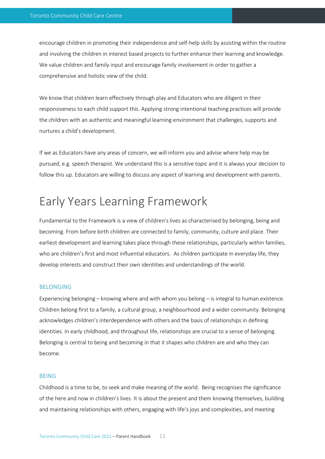encourage children in promoting their independence and self-help skills by assisting within the routine and involving the children in interest based projects to further enhance their learning and knowledge. We value children and family input and encourage family involvement in order to gather a comprehensive and holistic view of the child.

We know that children learn effectively through play and Educators who are diligent in their responsiveness to each child support this. Applying strong intentional teaching practices will provide the children with an authentic and meaningful learning environment that challenges, supports and nurtures a child's development.

If we as Educators have any areas of concern, we will inform you and advise where help may be pursued, e.g. speech therapist. We understand this is a sensitive topic and it is always your decision to follow this up. Educators are willing to discuss any aspect of learning and development with parents.

### Early Years Learning Framework

Fundamental to the Framework is a view of children's lives as characterised by belonging, being and becoming. From before birth children are connected to family, community, culture and place. Their earliest development and learning takes place through these relationships, particularly within families, who are children's first and most influential educators. As children participate in everyday life, they develop interests and construct their own identities and understandings of the world.

#### BELONGING

Experiencing belonging – knowing where and with whom you belong – is integral to human existence. Children belong first to a family, a cultural group, a neighbourhood and a wider community. Belonging acknowledges children's interdependence with others and the basis of relationships in defining identities. In early childhood, and throughout life, relationships are crucial to a sense of belonging. Belonging is central to being and becoming in that it shapes who children are and who they can become.

#### BEING

Childhood is a time to be, to seek and make meaning of the world. Being recognises the significance of the here and now in children's lives. It is about the present and them knowing themselves, building and maintaining relationships with others, engaging with life's joys and complexities, and meeting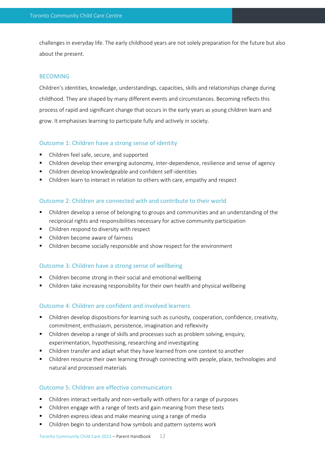challenges in everyday life. The early childhood years are not solely preparation for the future but also about the present.

#### **BECOMING**

Children's identities, knowledge, understandings, capacities, skills and relationships change during childhood. They are shaped by many different events and circumstances. Becoming reflects this process of rapid and significant change that occurs in the early years as young children learn and grow. It emphasises learning to participate fully and actively in society.

#### Outcome 1: Children have a strong sense of identity

- Children feel safe, secure, and supported
- Children develop their emerging autonomy, inter-dependence, resilience and sense of agency
- Children develop knowledgeable and confident self-identities
- Children learn to interact in relation to others with care, empathy and respect

#### Outcome 2: Children are connected with and contribute to their world

- Children develop a sense of belonging to groups and communities and an understanding of the reciprocal rights and responsibilities necessary for active community participation
- Children respond to diversity with respect
- Children become aware of fairness
- Children become socially responsible and show respect for the environment

#### Outcome 3: Children have a strong sense of wellbeing

- Children become strong in their social and emotional wellbeing
- Children take increasing responsibility for their own health and physical wellbeing

#### Outcome 4: Children are confident and involved learners

- Children develop dispositions for learning such as curiosity, cooperation, confidence, creativity, commitment, enthusiasm, persistence, imagination and reflexivity
- Children develop a range of skills and processes such as problem solving, enquiry, experimentation, hypothesising, researching and investigating
- Children transfer and adapt what they have learned from one context to another
- Children resource their own learning through connecting with people, place, technologies and natural and processed materials

#### Outcome 5: Children are effective communicators

- Children interact verbally and non-verbally with others for a range of purposes
- Children engage with a range of texts and gain meaning from these texts
- Children express ideas and make meaning using a range of media
- Children begin to understand how symbols and pattern systems work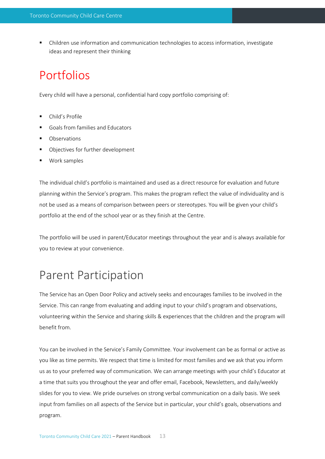Children use information and communication technologies to access information, investigate ideas and represent their thinking

### Portfolios

Every child will have a personal, confidential hard copy portfolio comprising of:

- Child's Profile
- Goals from families and Educators
- **Observations**
- Objectives for further development
- Work samples

The individual child's portfolio is maintained and used as a direct resource for evaluation and future planning within the Service's program. This makes the program reflect the value of individuality and is not be used as a means of comparison between peers or stereotypes. You will be given your child's portfolio at the end of the school year or as they finish at the Centre.

The portfolio will be used in parent/Educator meetings throughout the year and is always available for you to review at your convenience.

#### Parent Participation

The Service has an Open Door Policy and actively seeks and encourages families to be involved in the Service. This can range from evaluating and adding input to your child's program and observations, volunteering within the Service and sharing skills & experiences that the children and the program will benefit from.

You can be involved in the Service's Family Committee. Your involvement can be as formal or active as you like as time permits. We respect that time is limited for most families and we ask that you inform us as to your preferred way of communication. We can arrange meetings with your child's Educator at a time that suits you throughout the year and offer email, Facebook, Newsletters, and daily/weekly slides for you to view. We pride ourselves on strong verbal communication on a daily basis. We seek input from families on all aspects of the Service but in particular, your child's goals, observations and program.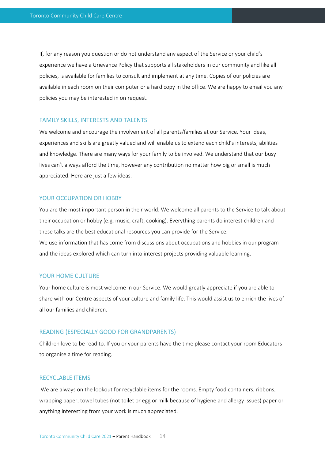If, for any reason you question or do not understand any aspect of the Service or your child's experience we have a Grievance Policy that supports all stakeholders in our community and like all policies, is available for families to consult and implement at any time. Copies of our policies are available in each room on their computer or a hard copy in the office. We are happy to email you any policies you may be interested in on request.

#### FAMILY SKILLS, INTERESTS AND TALENTS

We welcome and encourage the involvement of all parents/families at our Service. Your ideas, experiences and skills are greatly valued and will enable us to extend each child's interests, abilities and knowledge. There are many ways for your family to be involved. We understand that our busy lives can't always afford the time, however any contribution no matter how big or small is much appreciated. Here are just a few ideas.

#### YOUR OCCUPATION OR HOBBY

You are the most important person in their world. We welcome all parents to the Service to talk about their occupation or hobby (e.g. music, craft, cooking). Everything parents do interest children and these talks are the best educational resources you can provide for the Service. We use information that has come from discussions about occupations and hobbies in our program and the ideas explored which can turn into interest projects providing valuable learning.

#### YOUR HOME CULTURE

Your home culture is most welcome in our Service. We would greatly appreciate if you are able to share with our Centre aspects of your culture and family life. This would assist us to enrich the lives of all our families and children.

#### READING (ESPECIALLY GOOD FOR GRANDPARENTS)

Children love to be read to. If you or your parents have the time please contact your room Educators to organise a time for reading.

#### RECYCLABLE ITEMS

We are always on the lookout for recyclable items for the rooms. Empty food containers, ribbons, wrapping paper, towel tubes (not toilet or egg or milk because of hygiene and allergy issues) paper or anything interesting from your work is much appreciated.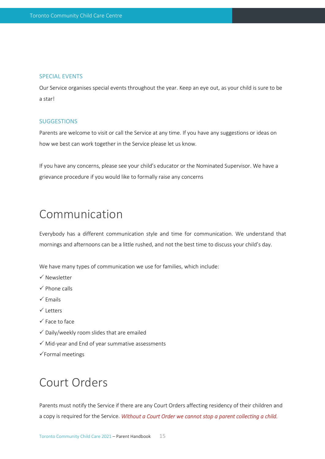#### SPECIAL EVENTS

Our Service organises special events throughout the year. Keep an eye out, as your child is sure to be a star!

#### **SUGGESTIONS**

Parents are welcome to visit or call the Service at any time. If you have any suggestions or ideas on how we best can work together in the Service please let us know.

If you have any concerns, please see your child's educator or the Nominated Supervisor. We have a grievance procedure if you would like to formally raise any concerns

### Communication

Everybody has a different communication style and time for communication. We understand that mornings and afternoons can be a little rushed, and not the best time to discuss your child's day.

We have many types of communication we use for families, which include:

- $\checkmark$  Newsletter
- $\checkmark$  Phone calls
- $\checkmark$  Emails
- $\checkmark$  Letters
- $\checkmark$  Face to face
- $\checkmark$  Daily/weekly room slides that are emailed
- $\checkmark$  Mid-year and End of year summative assessments
- $\checkmark$  Formal meetings

### Court Orders

Parents must notify the Service if there are any Court Orders affecting residency of their children and a copy is required for the Service. *Without a Court Order we cannot stop a parent collecting a child.*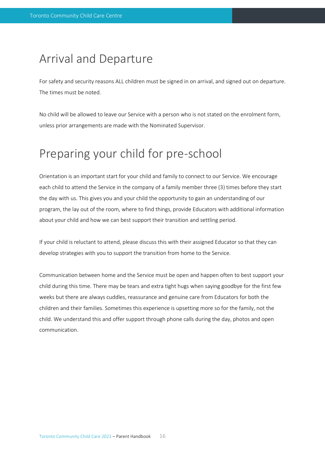#### Arrival and Departure

For safety and security reasons ALL children must be signed in on arrival, and signed out on departure. The times must be noted.

No child will be allowed to leave our Service with a person who is not stated on the enrolment form, unless prior arrangements are made with the Nominated Supervisor.

### Preparing your child for pre-school

Orientation is an important start for your child and family to connect to our Service. We encourage each child to attend the Service in the company of a family member three (3) times before they start the day with us. This gives you and your child the opportunity to gain an understanding of our program, the lay out of the room, where to find things, provide Educators with additional information about your child and how we can best support their transition and settling period.

If your child is reluctant to attend, please discuss this with their assigned Educator so that they can develop strategies with you to support the transition from home to the Service.

Communication between home and the Service must be open and happen often to best support your child during this time. There may be tears and extra tight hugs when saying goodbye for the first few weeks but there are always cuddles, reassurance and genuine care from Educators for both the children and their families. Sometimes this experience is upsetting more so for the family, not the child. We understand this and offer support through phone calls during the day, photos and open communication.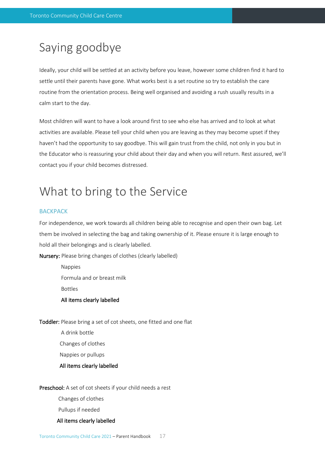### Saying goodbye

Ideally, your child will be settled at an activity before you leave, however some children find it hard to settle until their parents have gone. What works best is a set routine so try to establish the care routine from the orientation process. Being well organised and avoiding a rush usually results in a calm start to the day.

Most children will want to have a look around first to see who else has arrived and to look at what activities are available. Please tell your child when you are leaving as they may become upset if they haven't had the opportunity to say goodbye. This will gain trust from the child, not only in you but in the Educator who is reassuring your child about their day and when you will return. Rest assured, we'll contact you if your child becomes distressed.

### What to bring to the Service

#### **BACKPACK**

For independence, we work towards all children being able to recognise and open their own bag. Let them be involved in selecting the bag and taking ownership of it. Please ensure it is large enough to hold all their belongings and is clearly labelled.

Nursery: Please bring changes of clothes (clearly labelled)

 Nappies Formula and or breast milk Bottles All items clearly labelled

Toddler: Please bring a set of cot sheets, one fitted and one flat

 A drink bottle Changes of clothes

Nappies or pullups

#### All items clearly labelled

#### Preschool: A set of cot sheets if your child needs a rest

Changes of clothes

Pullups if needed

#### All items clearly labelled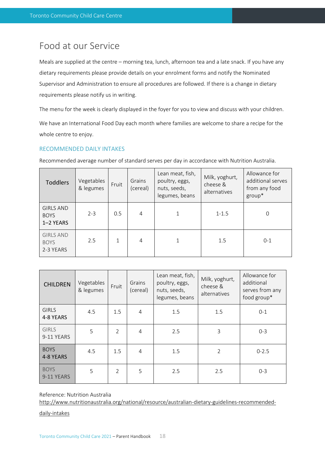#### Food at our Service

Meals are supplied at the centre – morning tea, lunch, afternoon tea and a late snack. If you have any dietary requirements please provide details on your enrolment forms and notify the Nominated Supervisor and Administration to ensure all procedures are followed. If there is a change in dietary requirements please notify us in writing.

The menu for the week is clearly displayed in the foyer for you to view and discuss with your children.

We have an International Food Day each month where families are welcome to share a recipe for the whole centre to enjoy.

#### RECOMMENDED DAILY INTAKES

Recommended average number of standard serves per day in accordance with Nutrition Australia.

| <b>Toddlers</b>                              | Vegetables<br>& legumes | Fruit        | Grains<br>(cereal) | Lean meat, fish,<br>poultry, eggs,<br>nuts, seeds,<br>legumes, beans | Milk, yoghurt,<br>cheese &<br>alternatives | Allowance for<br>additional serves<br>from any food<br>group* |
|----------------------------------------------|-------------------------|--------------|--------------------|----------------------------------------------------------------------|--------------------------------------------|---------------------------------------------------------------|
| <b>GIRLS AND</b><br><b>BOYS</b><br>1-2 YEARS | $2 - 3$                 | 0.5          | 4                  |                                                                      | $1 - 1.5$                                  | 0                                                             |
| <b>GIRLS AND</b><br><b>BOYS</b><br>2-3 YEARS | 2.5                     | $\mathbf{1}$ | 4                  |                                                                      | 1.5                                        | $0 - 1$                                                       |

| <b>CHILDREN</b>            | Vegetables<br>& legumes | Fruit          | Grains<br>(cereal) | Lean meat, fish,<br>poultry, eggs,<br>nuts, seeds,<br>legumes, beans | Milk, yoghurt,<br>cheese &<br>alternatives | Allowance for<br>additional<br>serves from any<br>food group* |
|----------------------------|-------------------------|----------------|--------------------|----------------------------------------------------------------------|--------------------------------------------|---------------------------------------------------------------|
| <b>GIRLS</b><br>4-8 YEARS  | 4.5                     | 1.5            | $\overline{4}$     | 1.5                                                                  | 1.5                                        | $0 - 1$                                                       |
| <b>GIRLS</b><br>9-11 YEARS | 5                       | $\overline{2}$ | $\overline{4}$     | 2.5                                                                  | 3                                          | $0 - 3$                                                       |
| <b>BOYS</b><br>4-8 YEARS   | 4.5                     | 1.5            | 4                  | 1.5                                                                  | 2                                          | $0 - 2.5$                                                     |
| <b>BOYS</b><br>9-11 YEARS  | 5                       | $\overline{2}$ | 5                  | 2.5                                                                  | 2.5                                        | $0 - 3$                                                       |

Reference: Nutrition Australia [http://www.nutritionaustralia.org/national/resource/australian-dietary-guidelines-recommended-](http://www.nutritionaustralia.org/national/resource/australian-dietary-guidelines-recommended-daily-intakes)

[daily-intakes](http://www.nutritionaustralia.org/national/resource/australian-dietary-guidelines-recommended-daily-intakes)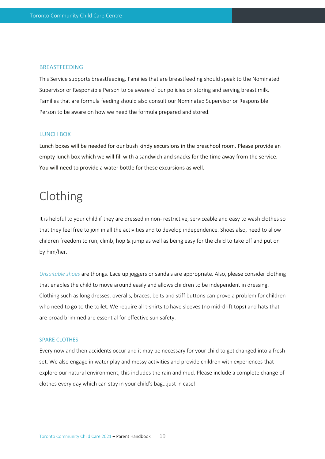#### BREASTFEEDING

This Service supports breastfeeding. Families that are breastfeeding should speak to the Nominated Supervisor or Responsible Person to be aware of our policies on storing and serving breast milk. Families that are formula feeding should also consult our Nominated Supervisor or Responsible Person to be aware on how we need the formula prepared and stored.

#### LUNCH BOX

Lunch boxes will be needed for our bush kindy excursions in the preschool room. Please provide an empty lunch box which we will fill with a sandwich and snacks for the time away from the service. You will need to provide a water bottle for these excursions as well.

### Clothing

It is helpful to your child if they are dressed in non- restrictive, serviceable and easy to wash clothes so that they feel free to join in all the activities and to develop independence. Shoes also, need to allow children freedom to run, climb, hop & jump as well as being easy for the child to take off and put on by him/her.

*Unsuitable shoes* are thongs. Lace up joggers or sandals are appropriate. Also, please consider clothing that enables the child to move around easily and allows children to be independent in dressing. Clothing such as long dresses, overalls, braces, belts and stiff buttons can prove a problem for children who need to go to the toilet. We require all t-shirts to have sleeves (no mid-drift tops) and hats that are broad brimmed are essential for effective sun safety.

#### SPARE CLOTHES

Every now and then accidents occur and it may be necessary for your child to get changed into a fresh set. We also engage in water play and messy activities and provide children with experiences that explore our natural environment, this includes the rain and mud. Please include a complete change of clothes every day which can stay in your child's bag...just in case!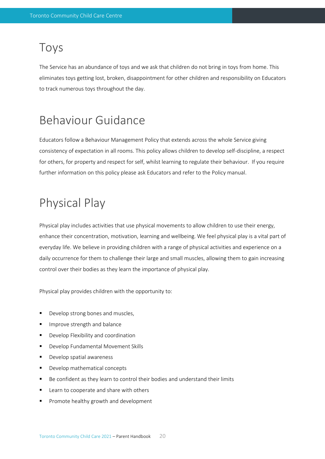#### Toys

The Service has an abundance of toys and we ask that children do not bring in toys from home. This eliminates toys getting lost, broken, disappointment for other children and responsibility on Educators to track numerous toys throughout the day.

### Behaviour Guidance

Educators follow a Behaviour Management Policy that extends across the whole Service giving consistency of expectation in all rooms. This policy allows children to develop self-discipline, a respect for others, for property and respect for self, whilst learning to regulate their behaviour. If you require further information on this policy please ask Educators and refer to the Policy manual.

### Physical Play

Physical play includes activities that use physical movements to allow children to use their energy, enhance their concentration, motivation, learning and wellbeing. We feel physical play is a vital part of everyday life. We believe in providing children with a range of physical activities and experience on a daily occurrence for them to challenge their large and small muscles, allowing them to gain increasing control over their bodies as they learn the importance of physical play.

Physical play provides children with the opportunity to:

- Develop strong bones and muscles,
- **■** Improve strength and balance
- Develop Flexibility and coordination
- Develop Fundamental Movement Skills
- Develop spatial awareness
- Develop mathematical concepts
- Be confident as they learn to control their bodies and understand their limits
- Learn to cooperate and share with others
- Promote healthy growth and development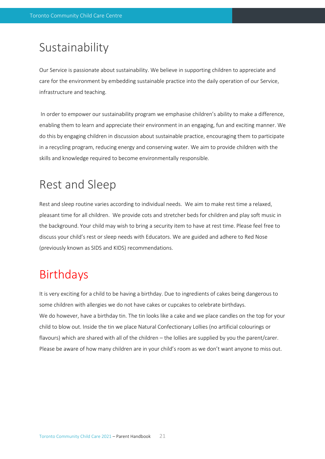### Sustainability

Our Service is passionate about sustainability. We believe in supporting children to appreciate and care for the environment by embedding sustainable practice into the daily operation of our Service, infrastructure and teaching.

In order to empower our sustainability program we emphasise children's ability to make a difference, enabling them to learn and appreciate their environment in an engaging, fun and exciting manner. We do this by engaging children in discussion about sustainable practice, encouraging them to participate in a recycling program, reducing energy and conserving water. We aim to provide children with the skills and knowledge required to become environmentally responsible.

### Rest and Sleep

Rest and sleep routine varies according to individual needs. We aim to make rest time a relaxed, pleasant time for all children. We provide cots and stretcher beds for children and play soft music in the background. Your child may wish to bring a security item to have at rest time. Please feel free to discuss your child's rest or sleep needs with Educators. We are guided and adhere to Red Nose (previously known as SIDS and KIDS) recommendations.

### Birthdays

It is very exciting for a child to be having a birthday. Due to ingredients of cakes being dangerous to some children with allergies we do not have cakes or cupcakes to celebrate birthdays. We do however, have a birthday tin. The tin looks like a cake and we place candles on the top for your child to blow out. Inside the tin we place Natural Confectionary Lollies (no artificial colourings or flavours) which are shared with all of the children – the lollies are supplied by you the parent/carer. Please be aware of how many children are in your child's room as we don't want anyone to miss out.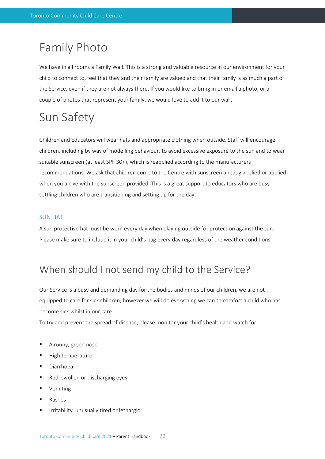### Family Photo

We have in all rooms a Family Wall. This is a strong and valuable resource in our environment for your child to connect to, feel that they and their family are valued and that their family is as much a part of the Service, even if they are not always there. If you would like to bring in or email a photo, or a couple of photos that represent your family, we would love to add it to our wall.

## Sun Safety

Children and Educators will wear hats and appropriate clothing when outside. Staff will encourage children, including by way of modelling behaviour, to avoid excessive exposure to the sun and to wear suitable sunscreen (at least SPF 30+), which is reapplied according to the manufacturers recommendations. We ask that children come to the Centre with sunscreen already applied or applied when you arrive with the sunscreen provided. This is a great support to educators who are busy settling children who are transitioning and setting up for the day.

#### SUN HAT

A sun protective hat must be worn every day when playing outside for protection against the sun. Please make sure to include it in your child's bag every day regardless of the weather conditions.

#### When should I not send my child to the Service?

Our Service is a busy and demanding day for the bodies and minds of our children, we are not equipped to care for sick children; however we will do everything we can to comfort a child who has become sick whilst in our care.

To try and prevent the spread of disease, please monitor your child's health and watch for:

- A runny, green nose
- High temperature
- **Diarrhoea**
- Red, swollen or discharging eyes
- **Vomiting**
- **Rashes**
- Irritability, unusually tired or lethargic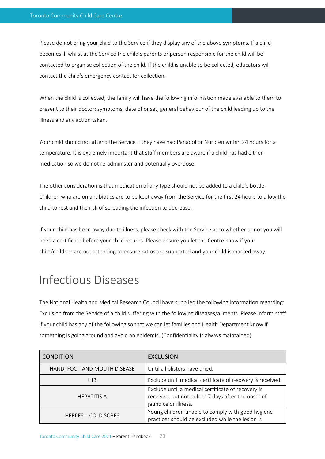Please do not bring your child to the Service if they display any of the above symptoms. If a child becomes ill whilst at the Service the child's parents or person responsible for the child will be contacted to organise collection of the child. If the child is unable to be collected, educators will contact the child's emergency contact for collection.

When the child is collected, the family will have the following information made available to them to present to their doctor: symptoms, date of onset, general behaviour of the child leading up to the illness and any action taken.

Your child should not attend the Service if they have had Panadol or Nurofen within 24 hours for a temperature. It is extremely important that staff members are aware if a child has had either medication so we do not re-administer and potentially overdose.

The other consideration is that medication of any type should not be added to a child's bottle. Children who are on antibiotics are to be kept away from the Service for the first 24 hours to allow the child to rest and the risk of spreading the infection to decrease.

If your child has been away due to illness, please check with the Service as to whether or not you will need a certificate before your child returns. Please ensure you let the Centre know if your child/children are not attending to ensure ratios are supported and your child is marked away.

### Infectious Diseases

The National Health and Medical Research Council have supplied the following information regarding: Exclusion from the Service of a child suffering with the following diseases/ailments. Please inform staff if your child has any of the following so that we can let families and Health Department know if something is going around and avoid an epidemic. (Confidentiality is always maintained).

| <b>CONDITION</b>             | <b>EXCLUSION</b>                                                                                                                 |
|------------------------------|----------------------------------------------------------------------------------------------------------------------------------|
| HAND, FOOT AND MOUTH DISEASE | Until all blisters have dried.                                                                                                   |
| <b>HIB</b>                   | Exclude until medical certificate of recovery is received.                                                                       |
| <b>HEPATITIS A</b>           | Exclude until a medical certificate of recovery is<br>received, but not before 7 days after the onset of<br>jaundice or illness. |
| <b>HERPES - COLD SORES</b>   | Young children unable to comply with good hygiene<br>practices should be excluded while the lesion is                            |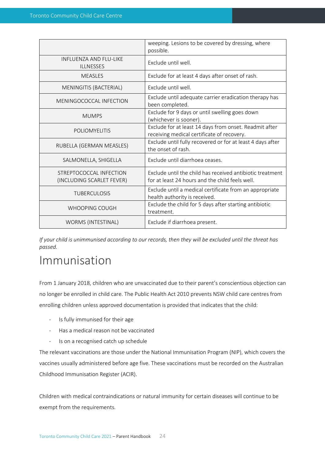|                                                      | weeping. Lesions to be covered by dressing, where<br>possible.                                               |
|------------------------------------------------------|--------------------------------------------------------------------------------------------------------------|
| INFI UFN7A AND FI U-LIKF<br><b>ILLNESSES</b>         | Exclude until well.                                                                                          |
| <b>MEASLES</b>                                       | Exclude for at least 4 days after onset of rash.                                                             |
| MENINGITIS (BACTERIAL)                               | Exclude until well.                                                                                          |
| MENINGOCOCCAL INFECTION                              | Exclude until adequate carrier eradication therapy has<br>been completed.                                    |
| <b>MUMPS</b>                                         | Exclude for 9 days or until swelling goes down<br>(whichever is sooner).                                     |
| <b>POLIOMYELITIS</b>                                 | Exclude for at least 14 days from onset. Readmit after<br>receiving medical certificate of recovery.         |
| RUBELLA (GERMAN MEASLES)                             | Exclude until fully recovered or for at least 4 days after<br>the onset of rash.                             |
| SALMONELLA, SHIGELLA                                 | Exclude until diarrhoea ceases.                                                                              |
| STREPTOCOCCAL INFECTION<br>(INCLUDING SCARLET FEVER) | Exclude until the child has received antibiotic treatment<br>for at least 24 hours and the child feels well. |
| <b>TUBERCULOSIS</b>                                  | Exclude until a medical certificate from an appropriate<br>health authority is received.                     |
| WHOOPING COUGH                                       | Exclude the child for 5 days after starting antibiotic<br>treatment.                                         |
| WORMS (INTESTINAL)                                   | Exclude if diarrhoea present.                                                                                |

*If your child is unimmunised according to our records, then they will be excluded until the threat has passed.*

#### Immunisation

From 1 January 2018, children who are unvaccinated due to their parent's conscientious objection can no longer be enrolled in child care. The Public Health Act 2010 prevents NSW child care centres from enrolling children unless approved documentation is provided that indicates that the child:

- Is fully immunised for their age
- Has a medical reason not be vaccinated
- Is on a recognised catch up schedule

The relevant vaccinations are those under the National Immunisation Program (NIP), which covers the vaccines usually administered before age five. These vaccinations must be recorded on the Australian Childhood Immunisation Register (ACIR).

Children with medical contraindications or natural immunity for certain diseases will continue to be exempt from the requirements.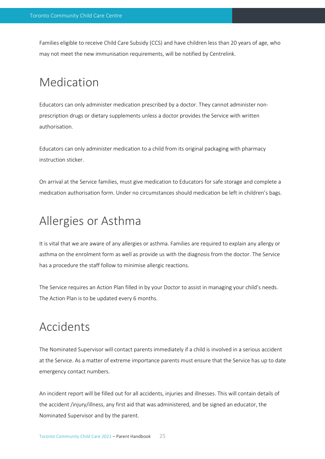Families eligible to receive Child Care Subsidy (CCS) and have children less than 20 years of age, who may not meet the new immunisation requirements, will be notified by Centrelink.

### Medication

Educators can only administer medication prescribed by a doctor. They cannot administer nonprescription drugs or dietary supplements unless a doctor provides the Service with written authorisation.

Educators can only administer medication to a child from its original packaging with pharmacy instruction sticker.

On arrival at the Service families, must give medication to Educators for safe storage and complete a medication authorisation form. Under no circumstances should medication be left in children's bags.

### Allergies or Asthma

It is vital that we are aware of any allergies or asthma. Families are required to explain any allergy or asthma on the enrolment form as well as provide us with the diagnosis from the doctor. The Service has a procedure the staff follow to minimise allergic reactions.

The Service requires an Action Plan filled in by your Doctor to assist in managing your child's needs. The Action Plan is to be updated every 6 months.

### Accidents

The Nominated Supervisor will contact parents immediately if a child is involved in a serious accident at the Service. As a matter of extreme importance parents must ensure that the Service has up to date emergency contact numbers.

An incident report will be filled out for all accidents, injuries and illnesses. This will contain details of the accident /injury/illness, any first aid that was administered, and be signed an educator, the Nominated Supervisor and by the parent.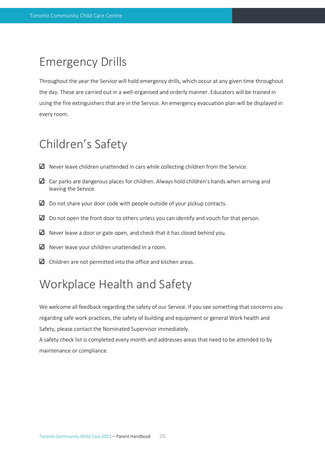### Emergency Drills

Throughout the year the Service will hold emergency drills, which occur at any given time throughout the day. These are carried out in a well-organised and orderly manner. Educators will be trained in using the fire extinguishers that are in the Service. An emergency evacuation plan will be displayed in every room.

### Children's Safety

- $\Box$  Never leave children unattended in cars while collecting children from the Service.
- $\Box$  Car parks are dangerous places for children. Always hold children's hands when arriving and leaving the Service.
- $\Box$  Do not share your door code with people outside of your pickup contacts.
- $\Box$  Do not open the front door to others unless you can identify and vouch for that person.
- $\Box$  Never leave a door or gate open, and check that it has closed behind you.
- $\blacksquare$  Never leave your children unattended in a room.
- $\Box$  Children are not permitted into the office and kitchen areas.

### Workplace Health and Safety

We welcome all feedback regarding the safety of our Service. If you see something that concerns you regarding safe work practices, the safety of building and equipment or general Work health and Safety, please contact the Nominated Supervisor immediately.

A safety check list is completed every month and addresses areas that need to be attended to by maintenance or compliance.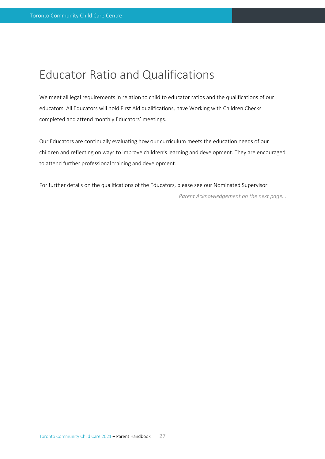### Educator Ratio and Qualifications

We meet all legal requirements in relation to child to educator ratios and the qualifications of our educators. All Educators will hold First Aid qualifications, have Working with Children Checks completed and attend monthly Educators' meetings.

Our Educators are continually evaluating how our curriculum meets the education needs of our children and reflecting on ways to improve children's learning and development. They are encouraged to attend further professional training and development.

For further details on the qualifications of the Educators, please see our Nominated Supervisor.

*Parent Acknowledgement on the next page…*